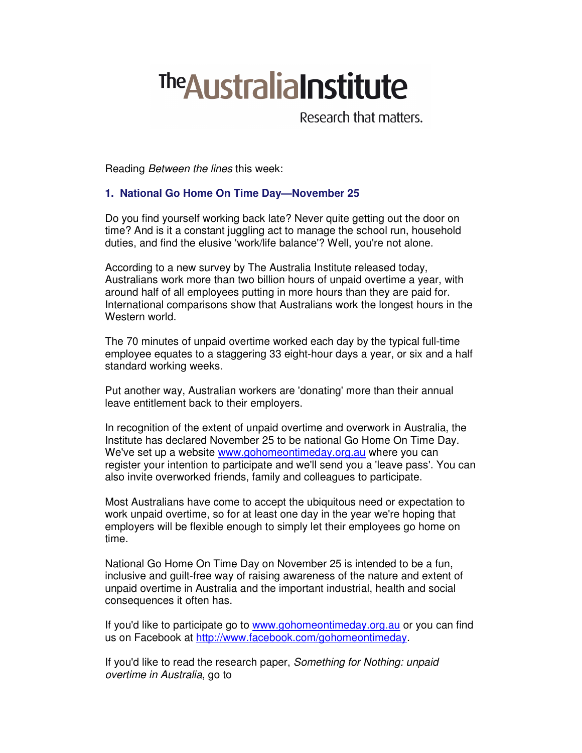# **The Australia Institute**

Research that matters.

Reading Between the lines this week:

# **1. National Go Home On Time Day—November 25**

Do you find yourself working back late? Never quite getting out the door on time? And is it a constant juggling act to manage the school run, household duties, and find the elusive 'work/life balance'? Well, you're not alone.

According to a new survey by The Australia Institute released today, Australians work more than two billion hours of unpaid overtime a year, with around half of all employees putting in more hours than they are paid for. International comparisons show that Australians work the longest hours in the Western world.

The 70 minutes of unpaid overtime worked each day by the typical full-time employee equates to a staggering 33 eight-hour days a year, or six and a half standard working weeks.

Put another way, Australian workers are 'donating' more than their annual leave entitlement back to their employers.

In recognition of the extent of unpaid overtime and overwork in Australia, the Institute has declared November 25 to be national Go Home On Time Day. We've set up a website www.gohomeontimeday.org.au where you can register your intention to participate and we'll send you a 'leave pass'. You can also invite overworked friends, family and colleagues to participate.

Most Australians have come to accept the ubiquitous need or expectation to work unpaid overtime, so for at least one day in the year we're hoping that employers will be flexible enough to simply let their employees go home on time.

National Go Home On Time Day on November 25 is intended to be a fun, inclusive and guilt-free way of raising awareness of the nature and extent of unpaid overtime in Australia and the important industrial, health and social consequences it often has.

If you'd like to participate go to www.gohomeontimeday.org.au or you can find us on Facebook at http://www.facebook.com/gohomeontimeday.

If you'd like to read the research paper, Something for Nothing: unpaid overtime in Australia, go to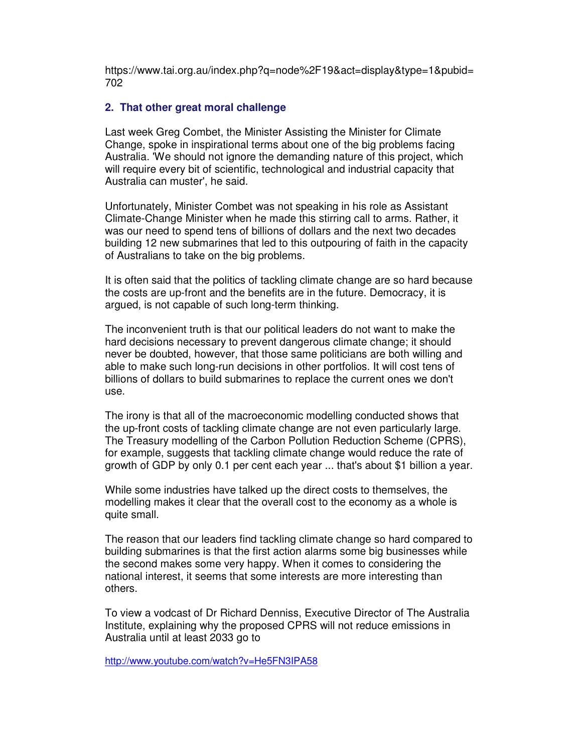https://www.tai.org.au/index.php?q=node%2F19&act=display&type=1&pubid= 702

#### **2. That other great moral challenge**

Last week Greg Combet, the Minister Assisting the Minister for Climate Change, spoke in inspirational terms about one of the big problems facing Australia. 'We should not ignore the demanding nature of this project, which will require every bit of scientific, technological and industrial capacity that Australia can muster', he said.

Unfortunately, Minister Combet was not speaking in his role as Assistant Climate-Change Minister when he made this stirring call to arms. Rather, it was our need to spend tens of billions of dollars and the next two decades building 12 new submarines that led to this outpouring of faith in the capacity of Australians to take on the big problems.

It is often said that the politics of tackling climate change are so hard because the costs are up-front and the benefits are in the future. Democracy, it is argued, is not capable of such long-term thinking.

The inconvenient truth is that our political leaders do not want to make the hard decisions necessary to prevent dangerous climate change; it should never be doubted, however, that those same politicians are both willing and able to make such long-run decisions in other portfolios. It will cost tens of billions of dollars to build submarines to replace the current ones we don't use.

The irony is that all of the macroeconomic modelling conducted shows that the up-front costs of tackling climate change are not even particularly large. The Treasury modelling of the Carbon Pollution Reduction Scheme (CPRS), for example, suggests that tackling climate change would reduce the rate of growth of GDP by only 0.1 per cent each year ... that's about \$1 billion a year.

While some industries have talked up the direct costs to themselves, the modelling makes it clear that the overall cost to the economy as a whole is quite small.

The reason that our leaders find tackling climate change so hard compared to building submarines is that the first action alarms some big businesses while the second makes some very happy. When it comes to considering the national interest, it seems that some interests are more interesting than others.

To view a vodcast of Dr Richard Denniss, Executive Director of The Australia Institute, explaining why the proposed CPRS will not reduce emissions in Australia until at least 2033 go to

http://www.youtube.com/watch?v=He5FN3IPA58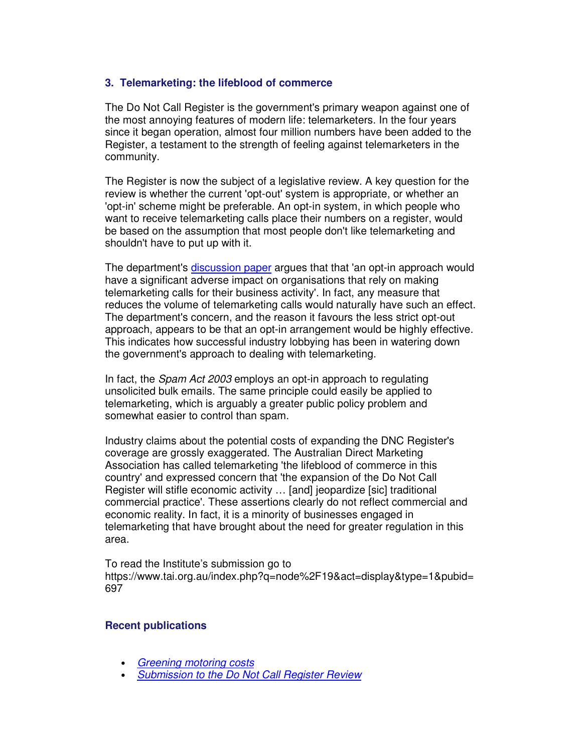### **3. Telemarketing: the lifeblood of commerce**

The Do Not Call Register is the government's primary weapon against one of the most annoying features of modern life: telemarketers. In the four years since it began operation, almost four million numbers have been added to the Register, a testament to the strength of feeling against telemarketers in the community.

The Register is now the subject of a legislative review. A key question for the review is whether the current 'opt-out' system is appropriate, or whether an 'opt-in' scheme might be preferable. An opt-in system, in which people who want to receive telemarketing calls place their numbers on a register, would be based on the assumption that most people don't like telemarketing and shouldn't have to put up with it.

The department's discussion paper argues that that 'an opt-in approach would have a significant adverse impact on organisations that rely on making telemarketing calls for their business activity'. In fact, any measure that reduces the volume of telemarketing calls would naturally have such an effect. The department's concern, and the reason it favours the less strict opt-out approach, appears to be that an opt-in arrangement would be highly effective. This indicates how successful industry lobbying has been in watering down the government's approach to dealing with telemarketing.

In fact, the *Spam Act 2003* employs an opt-in approach to regulating unsolicited bulk emails. The same principle could easily be applied to telemarketing, which is arguably a greater public policy problem and somewhat easier to control than spam.

Industry claims about the potential costs of expanding the DNC Register's coverage are grossly exaggerated. The Australian Direct Marketing Association has called telemarketing 'the lifeblood of commerce in this country' and expressed concern that 'the expansion of the Do Not Call Register will stifle economic activity … [and] jeopardize [sic] traditional commercial practice'. These assertions clearly do not reflect commercial and economic reality. In fact, it is a minority of businesses engaged in telemarketing that have brought about the need for greater regulation in this area.

To read the Institute's submission go to https://www.tai.org.au/index.php?q=node%2F19&act=display&type=1&pubid= 697

### **Recent publications**

- Greening motoring costs
- Submission to the Do Not Call Register Review